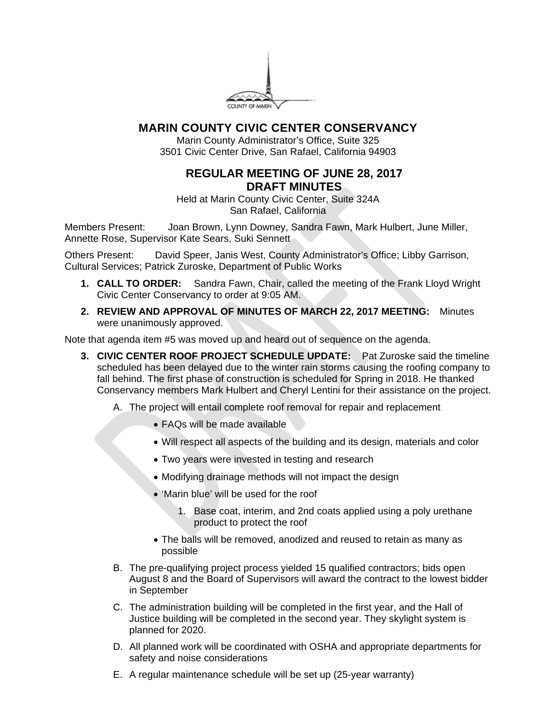

# **MARIN COUNTY CIVIC CENTER CONSERVANCY**

Marin County Administrator's Office, Suite 325 3501 Civic Center Drive, San Rafael, California 94903

## **REGULAR MEETING OF JUNE 28, 2017 DRAFT MINUTES**

Held at Marin County Civic Center, Suite 324A San Rafael, California

Members Present: Joan Brown, Lynn Downey, Sandra Fawn, Mark Hulbert, June Miller, Annette Rose, Supervisor Kate Sears, Suki Sennett

Others Present: David Speer, Janis West, County Administrator's Office; Libby Garrison, Cultural Services; Patrick Zuroske, Department of Public Works

- **1. CALL TO ORDER:** Sandra Fawn, Chair, called the meeting of the Frank Lloyd Wright Civic Center Conservancy to order at 9:05 AM.
- **2. REVIEW AND APPROVAL OF MINUTES OF MARCH 22, 2017 MEETING:** Minutes were unanimously approved.

Note that agenda item #5 was moved up and heard out of sequence on the agenda.

- **3. CIVIC CENTER ROOF PROJECT SCHEDULE UPDATE:** Pat Zuroske said the timeline scheduled has been delayed due to the winter rain storms causing the roofing company to fall behind. The first phase of construction is scheduled for Spring in 2018. He thanked Conservancy members Mark Hulbert and Cheryl Lentini for their assistance on the project.
	- A. The project will entail complete roof removal for repair and replacement
		- FAQs will be made available
		- Will respect all aspects of the building and its design, materials and color
		- Two years were invested in testing and research
		- Modifying drainage methods will not impact the design
		- 'Marin blue' will be used for the roof
			- 1. Base coat, interim, and 2nd coats applied using a poly urethane product to protect the roof
		- The balls will be removed, anodized and reused to retain as many as possible
	- B. The pre-qualifying project process yielded 15 qualified contractors; bids open August 8 and the Board of Supervisors will award the contract to the lowest bidder in September
	- C. The administration building will be completed in the first year, and the Hall of Justice building will be completed in the second year. They skylight system is planned for 2020.
	- D. All planned work will be coordinated with OSHA and appropriate departments for safety and noise considerations
	- E. A regular maintenance schedule will be set up (25-year warranty)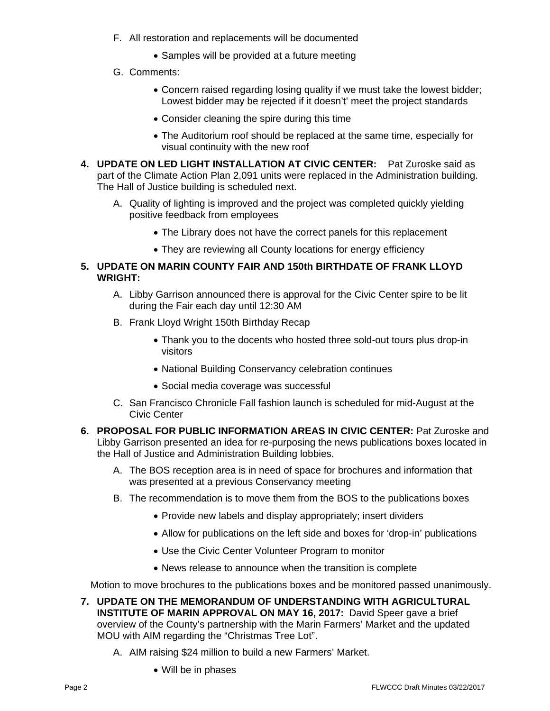- F. All restoration and replacements will be documented
	- Samples will be provided at a future meeting
- G. Comments:
	- Concern raised regarding losing quality if we must take the lowest bidder; Lowest bidder may be rejected if it doesn't' meet the project standards
	- Consider cleaning the spire during this time
	- The Auditorium roof should be replaced at the same time, especially for visual continuity with the new roof
- **4. UPDATE ON LED LIGHT INSTALLATION AT CIVIC CENTER:** Pat Zuroske said as part of the Climate Action Plan 2,091 units were replaced in the Administration building. The Hall of Justice building is scheduled next.
	- A. Quality of lighting is improved and the project was completed quickly yielding positive feedback from employees
		- The Library does not have the correct panels for this replacement
		- They are reviewing all County locations for energy efficiency

### **5. UPDATE ON MARIN COUNTY FAIR AND 150th BIRTHDATE OF FRANK LLOYD WRIGHT:**

- A. Libby Garrison announced there is approval for the Civic Center spire to be lit during the Fair each day until 12:30 AM
- B. Frank Lloyd Wright 150th Birthday Recap
	- Thank you to the docents who hosted three sold-out tours plus drop-in visitors
	- National Building Conservancy celebration continues
	- Social media coverage was successful
- C. San Francisco Chronicle Fall fashion launch is scheduled for mid-August at the Civic Center
- **6. PROPOSAL FOR PUBLIC INFORMATION AREAS IN CIVIC CENTER:** Pat Zuroske and Libby Garrison presented an idea for re-purposing the news publications boxes located in the Hall of Justice and Administration Building lobbies.
	- A. The BOS reception area is in need of space for brochures and information that was presented at a previous Conservancy meeting
	- B. The recommendation is to move them from the BOS to the publications boxes
		- Provide new labels and display appropriately; insert dividers
		- Allow for publications on the left side and boxes for 'drop-in' publications
		- Use the Civic Center Volunteer Program to monitor
		- News release to announce when the transition is complete

Motion to move brochures to the publications boxes and be monitored passed unanimously.

- **7. UPDATE ON THE MEMORANDUM OF UNDERSTANDING WITH AGRICULTURAL INSTITUTE OF MARIN APPROVAL ON MAY 16, 2017:** David Speer gave a brief overview of the County's partnership with the Marin Farmers' Market and the updated MOU with AIM regarding the "Christmas Tree Lot".
	- A. AIM raising \$24 million to build a new Farmers' Market.
		- Will be in phases